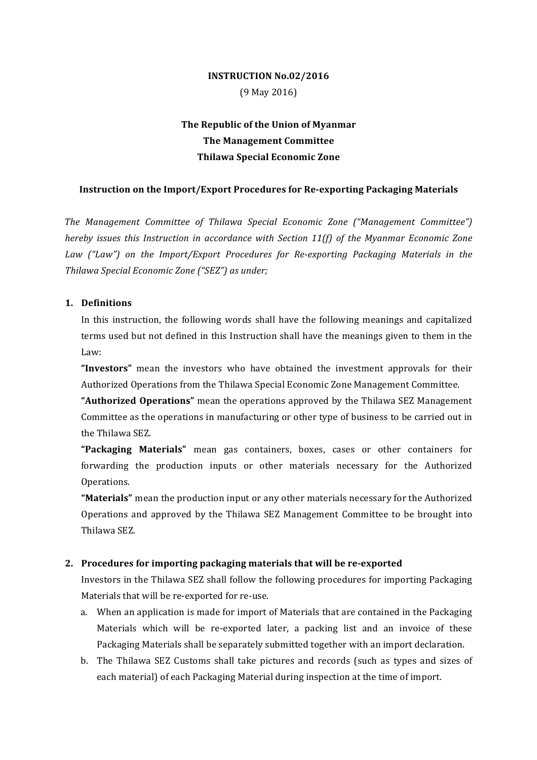## **INSTRUCTION No.02/2016** (9 May 2016)

# **The Republic of the Union of Myanmar The Management Committee Thilawa Special Economic Zone**

#### **Instruction on the Import/Export Procedures for Re-exporting Packaging Materials**

The Management Committee of Thilawa Special Economic Zone ("Management Committee") *hereby issues this Instruction in accordance with Section 11(f) of the Myanmar Economic Zone Law* ("Law") on the *Import/Export Procedures for Re-exporting Packaging Materials in the Thilawa Special Economic Zone ("SEZ") as under;*

#### **1. Definitions**

In this instruction, the following words shall have the following meanings and capitalized terms used but not defined in this Instruction shall have the meanings given to them in the Law:

"Investors" mean the investors who have obtained the investment approvals for their Authorized Operations from the Thilawa Special Economic Zone Management Committee.

**"Authorized Operations"** mean the operations approved by the Thilawa SEZ Management Committee as the operations in manufacturing or other type of business to be carried out in the Thilawa SEZ.

**"Packaging Materials"** mean gas containers, boxes, cases or other containers for forwarding the production inputs or other materials necessary for the Authorized Operations.

"Materials" mean the production input or any other materials necessary for the Authorized Operations and approved by the Thilawa SEZ Management Committee to be brought into Thilawa SEZ. 

### **2.** Procedures for importing packaging materials that will be re-exported

Investors in the Thilawa SEZ shall follow the following procedures for importing Packaging Materials that will be re-exported for re-use.

- a. When an application is made for import of Materials that are contained in the Packaging Materials which will be re-exported later, a packing list and an invoice of these Packaging Materials shall be separately submitted together with an import declaration.
- b. The Thilawa SEZ Customs shall take pictures and records (such as types and sizes of each material) of each Packaging Material during inspection at the time of import.